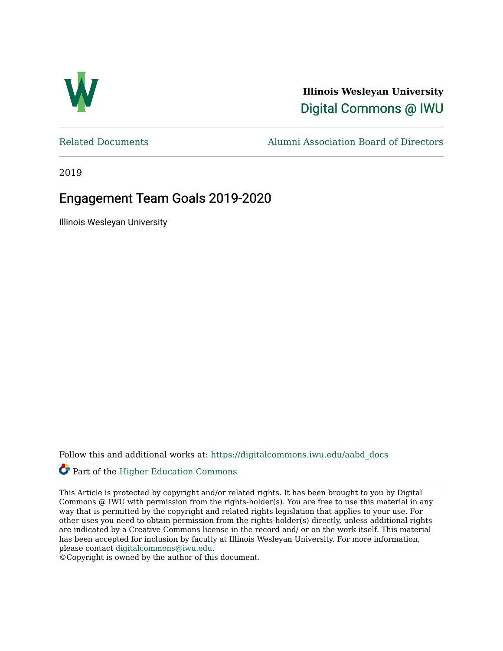

**Illinois Wesleyan University**  [Digital Commons @ IWU](https://digitalcommons.iwu.edu/) 

[Related Documents](https://digitalcommons.iwu.edu/aabd_docs) [Alumni Association Board of Directors](https://digitalcommons.iwu.edu/alumni_aabd) 

2019

### Engagement Team Goals 2019-2020

Illinois Wesleyan University

Follow this and additional works at: [https://digitalcommons.iwu.edu/aabd\\_docs](https://digitalcommons.iwu.edu/aabd_docs?utm_source=digitalcommons.iwu.edu%2Faabd_docs%2F17&utm_medium=PDF&utm_campaign=PDFCoverPages) 

### Part of the [Higher Education Commons](https://network.bepress.com/hgg/discipline/1245?utm_source=digitalcommons.iwu.edu%2Faabd_docs%2F17&utm_medium=PDF&utm_campaign=PDFCoverPages)

This Article is protected by copyright and/or related rights. It has been brought to you by Digital Commons @ IWU with permission from the rights-holder(s). You are free to use this material in any way that is permitted by the copyright and related rights legislation that applies to your use. For other uses you need to obtain permission from the rights-holder(s) directly, unless additional rights are indicated by a Creative Commons license in the record and/ or on the work itself. This material has been accepted for inclusion by faculty at Illinois Wesleyan University. For more information, please contact [digitalcommons@iwu.edu.](mailto:digitalcommons@iwu.edu)

©Copyright is owned by the author of this document.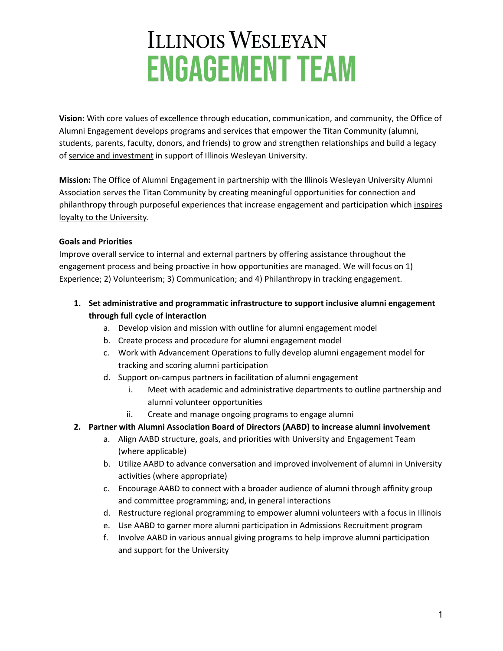# **ILLINOIS WESLEYAN ENGAGEMENT TEAM**

**Vision:** With core values of excellence through education, communication, and community, the Office of Alumni Engagement develops programs and services that empower the Titan Community (alumni, students, parents, faculty, donors, and friends) to grow and strengthen relationships and build a legacy of service and investment in support of Illinois Wesleyan University.

**Mission:** The Office of Alumni Engagement in partnership with the Illinois Wesleyan University Alumni Association serves the Titan Community by creating meaningful opportunities for connection and philanthropy through purposeful experiences that increase engagement and participation which inspires loyalty to the University.

#### **Goals and Priorities**

Improve overall service to internal and external partners by offering assistance throughout the engagement process and being proactive in how opportunities are managed. We will focus on 1) Experience; 2) Volunteerism; 3) Communication; and 4) Philanthropy in tracking engagement.

- **1. Set administrative and programmatic infrastructure to support inclusive alumni engagement through full cycle of interaction**
	- a. Develop vision and mission with outline for alumni engagement model
	- b. Create process and procedure for alumni engagement model
	- c. Work with Advancement Operations to fully develop alumni engagement model for tracking and scoring alumni participation
	- d. Support on-campus partners in facilitation of alumni engagement
		- i. Meet with academic and administrative departments to outline partnership and alumni volunteer opportunities
		- ii. Create and manage ongoing programs to engage alumni
- **2. Partner with Alumni Association Board of Directors (AABD) to increase alumni involvement**
	- a. Align AABD structure, goals, and priorities with University and Engagement Team (where applicable)
	- b. Utilize AABD to advance conversation and improved involvement of alumni in University activities (where appropriate)
	- c. Encourage AABD to connect with a broader audience of alumni through affinity group and committee programming; and, in general interactions
	- d. Restructure regional programming to empower alumni volunteers with a focus in Illinois
	- e. Use AABD to garner more alumni participation in Admissions Recruitment program
	- f. Involve AABD in various annual giving programs to help improve alumni participation and support for the University